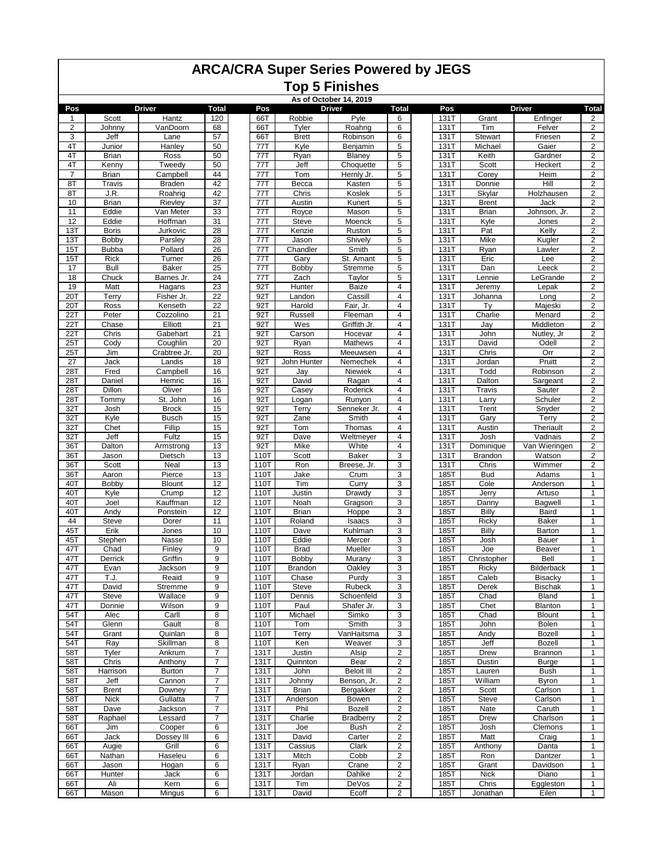## **ARCA/CRA Super Series Powered by JEGS Top 5 Finishes**

**As of October 14, 2019**

| Pos              | <b>Driver</b> |               | <b>Total</b>    |     | Pos  |              | <b>Driver</b><br><b>Total</b> |                         | Pos         | <b>Driver</b> |                   | Total                                     |
|------------------|---------------|---------------|-----------------|-----|------|--------------|-------------------------------|-------------------------|-------------|---------------|-------------------|-------------------------------------------|
| $\mathbf{1}$     | Scott         | Hantz         | 120             |     | 66T  | Robbie       | Pyle                          | 6                       | 131T        | Grant         | Enfinger          | $\overline{\mathbf{c}}$                   |
| $\overline{2}$   | Johnny        | VanDoorn      | 68              | 66T |      | Tyler        | Roahrig                       | 6                       | 131T        | Tim           | Felver            | $\overline{2}$                            |
| 3                | Jeff          | Lane          | 57              | 66T |      | <b>Brett</b> | Robinson                      | 6                       | 131T        | Stewart       | Friesen           | $\overline{2}$                            |
| 4T               | Junior        | Hanley        | 50              |     | 77T  | Kyle         | Benjamin                      | 5                       | 131T        | Michael       | Gaier             | $\overline{2}$                            |
| 4T               | <b>Brian</b>  | Ross          | 50              |     | 77T  | Ryan         | Blaney                        | 5                       | <b>131T</b> | Keith         | Gardner           | $\overline{2}$                            |
| 4T               | Kenny         | Tweedy        | 50              | 77T |      | Jeff         | Choquette                     | 5                       | <b>131T</b> | Scott         | Heckert           | $\overline{2}$                            |
| $\overline{7}$   | <b>Brian</b>  | Campbell      | 44              | 77T |      | Tom          | Hernly Jr.                    | 5                       | <b>131T</b> | Corey         | Heim              | $\mathbf 2$                               |
| 8T               | Travis        | <b>Braden</b> | 42              | 77T |      | Becca        | Kasten                        | 5                       | 131T        | Donnie        | Hill              | $\overline{2}$                            |
| 8T               | J.R.          | Roahrig       | 42              |     | 77T  | Chris        | Koslek                        | 5                       | 131T        | Skylar        | Holzhausen        | $\overline{2}$                            |
| 10               | <b>Brian</b>  | Rievley       | 37              |     | 77T  | Austin       | Kunert                        | 5                       | 131T        | <b>Brent</b>  | Jack              | $\overline{2}$                            |
| 11               | Eddie         | Van Meter     | 33              | 77T |      | Royce        | Mason                         | 5                       | 131T        | <b>Brian</b>  | Johnson, Jr.      | $\overline{c}$                            |
| 12               | Eddie         | Hoffman       | 31              | 77T |      | <b>Steve</b> | Moenck                        | 5                       | 131T        | Kyle          | Jones             | $\overline{2}$                            |
| 13T              | <b>Boris</b>  | Jurkovic      | $\overline{28}$ | 77T |      | Kenzie       | Ruston                        | 5                       | 131T        | Pat           | Kelly             | $\overline{2}$                            |
| 13T              | Bobby         | Parsley       | $\overline{28}$ | 77T |      | Jason        | Shively                       | 5                       | 131T        | Mike          | Kugler            | $\overline{\mathbf{c}}$                   |
| 15T              | <b>Bubba</b>  | Pollard       | $\overline{26}$ | 771 |      | Chandler     | Smith                         | 5                       | <b>131T</b> | Ryan          | Lawler            | $\overline{2}$                            |
| 15T              | Rick          | Turner        | $\overline{26}$ | 771 |      | Gary         | St. Amant                     | 5                       | 131T        | Eric          | Lee               | $\overline{2}$                            |
| 17               | Bull          | <b>Baker</b>  | $\overline{25}$ | 77T |      | <b>Bobby</b> | Stremme                       | 5                       | 131T        | Dan           | Leeck             | $\overline{2}$                            |
| 18               | Chuck         | Barnes Jr.    | 24              |     | 77T  | Zach         | Taylor                        | 5                       | 131T        | Lennie        | LeGrande          | $\overline{2}$                            |
| 19               | Matt          | Hagans        | 23              | 92T |      | Hunter       | <b>Baize</b>                  | 4                       | 131T        | Jeremy        | Lepak             | $\overline{2}$                            |
| 20T              | Terry         | Fisher Jr.    | 22              | 92T |      | Landon       | Cassill                       | 4                       | 131T        | Johanna       | Long              | $\overline{2}$                            |
| 20T              | Ross          | Kenseth       | $\overline{22}$ |     | 92T  | Harold       | Fair, Jr.                     | $\overline{\mathbf{4}}$ | 131T        | Tv            | Majeski           | $\overline{\mathbf{c}}$                   |
| 22T              | Peter         | Cozzolino     | 21              |     | 92T  | Russell      | Fleeman                       | 4                       | <b>131T</b> | Charlie       | Menard            | $\overline{2}$                            |
| 22T              | Chase         | Elliott       | 21              |     | 92T  | Wes          | Griffith Jr.                  | 4                       | <b>131T</b> | Jay           | Middleton         | $\overline{2}$                            |
| 22T              | Chris         | Gabehart      | 21              | 92T |      | Carson       | Hocevar                       | 4                       | <b>131T</b> | John          | Nutley, Jr        | $\overline{\mathbf{2}}$                   |
| 25T              | Cody          | Coughlin      | 20              |     | 92T  | Ryan         | Mathews                       | 4                       | 131T        | David         | Odell             | $\overline{2}$                            |
| 25T              | Jim           | Crabtree Jr.  | 20              |     | 92T  | Ross         | Meeuwsen                      | 4                       | 131T        | Chris         | Orr               | $\overline{2}$                            |
| 27               | Jack          | Landis        | 18              |     | 92T  | John Hunter  | Nemechek                      | 4                       | 131T        | Jordan        | Pruitt            | $\overline{2}$                            |
| 28T              | Fred          | Campbell      | 16              | 92T |      | Jay          | Niewiek                       | $\overline{\mathbf{4}}$ | <b>131T</b> | Todd          | Robinson          | $\overline{2}$                            |
| 28T              | Daniel        | Hemric        | 16              | 92T |      | David        |                               | 4                       | 131T        | Dalton        | Sargeant          | $\overline{2}$                            |
| 28T              | Dillon        |               | 16              |     |      |              | Ragan<br>Roderick             | 4                       | 131T        |               |                   |                                           |
|                  |               | Oliver        |                 |     | 92T  | Casey        | Runyon                        | 4                       |             | <b>Travis</b> | Sauter<br>Schuler | $\overline{\mathbf{c}}$<br>$\overline{2}$ |
| 28T              | Tommy         | St. John      | 16              |     | 92T  | Logan        |                               |                         | <b>131T</b> | Larry         |                   |                                           |
| 32T              | Josh          | <b>Brock</b>  | 15              |     | 92T  | Terry        | Senneker Jr.                  | 4                       | <b>131T</b> | Trent         | Snyder            | $\overline{2}$                            |
| 32T              | Kyle          | <b>Busch</b>  | 15              | 92T |      | Zane         | Smith                         | 4                       | 131T        | Gary          | Terry             | $\overline{2}$                            |
| $\overline{32T}$ | Chet          | Fillip        | 15              |     | 92T  | Tom          | Thomas                        | 4                       | 131T        | Austin        | Theriault         | $\overline{2}$                            |
| 32T              | Jeff          | Fultz         | 15              |     | 92T  | Dave         | Weltmeyer                     | 4                       | 131T        | Josh          | Vadnais           | $\overline{2}$                            |
| 36T              | Dalton        | Armstrong     | 13              |     | 92T  | Mike         | White                         | 4                       | 131T        | Dominique     | Van Wieringen     | $\overline{2}$                            |
| 36T              | Jason         | Dietsch       | 13              |     | 110T | Scott        | <b>Baker</b>                  | 3                       | 131T        | Brandon       | Watson            | $\overline{2}$                            |
| 36T              | Scott         | Neal          | 13              |     | 110T | Ron          | Breese, Jr.                   | 3                       | 131T        | Chris         | Wimmer            | $\overline{2}$                            |
| 36T              | Aaron         | Pierce        | 13              |     | 110T | Jake         | Crum                          | 3                       | 185T        | <b>Bud</b>    | Adams             | 1                                         |
| 40T              | Bobby         | <b>Blount</b> | 12              |     | 110T | Tim          | Curry                         | 3                       | 185T        | Cole          | Anderson          | $\mathbf{1}$                              |
| 40T              | Kyle          | Crump         | 12              |     | 110T | Justin       | Drawdy                        | 3                       | 185T        | Jerry         | Artuso            | $\mathbf{1}$                              |
| 40T              | Joel          | Kauffman      | 12              |     | 110T | Noah         | Gragson                       | 3                       | 185T        | Danny         | Bagwell           | $\mathbf{1}$                              |
| 40T              | Andy          | Ponstein      | 12              |     | 110T | <b>Brian</b> | Hoppe                         | 3                       | 185T        | Billy         | Baird             | $\mathbf{1}$                              |
| 44               | <b>Steve</b>  | Dorer         | 11              |     | 110T | Roland       | Isaacs                        | 3                       | 185T        | Ricky         | <b>Baker</b>      | $\mathbf{1}$                              |
| 45T              | Erik          | Jones         | 10              |     | 110T | Dave         | Kuhlman                       | 3                       | 185T        | Billy         | Barton            | $\mathbf{1}$                              |
| 45T              | Stephen       | Nasse         | 10              |     | 110T | Eddie        | Mercer                        | 3                       | 185T        | Josh          | Bauer             | $\mathbf{1}$                              |
| 47T              | Chad          | Finley        | 9               |     | 110T | <b>Brad</b>  | Mueller                       | 3                       | 185T        | Joe           | Beaver            | $\mathbf{1}$                              |
| 47T              | Derrick       | Griffin       | 9               |     | 110T | Bobby        | Murany                        | 3                       | <b>185T</b> | Christopher   | Bell              | $\mathbf{1}$                              |
| 47T              | Evan          | Jackson       | 9               |     | 110T | Brandon      | Oakley                        | 3                       | 185T        | Ricky         | Bilderback        | $\mathbf{1}$                              |
| 47T              | T.J.          | Reaid         | $\overline{9}$  |     | 110T | Chase        | Purdy                         | 3                       | 185T        | Caleb         | Bisacky           | 1                                         |
| 47T              | David         | Stremme       | 9               |     | 110T | Steve        | <b>Rubeck</b>                 | 3                       | 185T        | Derek         | <b>Bischak</b>    | $\mathbf{1}$                              |
| 47T              | Steve         | Wallace       | 9               |     | 110T | Dennis       | Schoenfeld                    | 3                       | 185T        | Chad          | Bland             | $\mathbf{1}$                              |
| 47T              | Donnie        | Wilson        | 9               |     | 110T | Paul         | Shafer Jr.                    | 3                       | 185T        | Chet          | Blanton           | $\mathbf{1}$                              |
| 54T              | Alec          | Carll         | 8               |     | 110T | Michael      | Simko                         | 3                       | 185T        | Chad          | <b>Blount</b>     | $\mathbf{1}$                              |
| 54T              | Glenn         | Gault         | 8               |     | 110T | Tom          | Smith                         | 3                       | 185T        | John          | Bolen             | $\mathbf{1}$                              |
| 54T              | Grant         | Quinlan       | 8               |     | 110T | Terry        | VanHaitsma                    | 3                       | 185T        | Andy          | <b>Bozell</b>     | $\mathbf{1}$                              |
| 54T              | Ray           | Skillman      | 8               |     | 110T | Ken          | Weaver                        | 3                       | 185T        | Jeff          | Bozell            | $\mathbf{1}$                              |
| 58T              | Tyler         | Ankrum        | $\overline{7}$  |     | 131T | Justin       | Alsip                         | $\overline{\mathbf{c}}$ | 185T        | Drew          | <b>Brannon</b>    | $\mathbf{1}$                              |
| 58T              | Chris         | Anthony       | $\overline{7}$  |     | 131T | Quinnton     | Bear                          | 2                       | 185T        | Dustin        | <b>Burge</b>      | $\mathbf{1}$                              |
| 58T              | Harrison      | <b>Burton</b> | $\overline{7}$  |     | 131T | John         | <b>Beloit III</b>             | $\boldsymbol{2}$        | 185T        | Lauren        | <b>Bush</b>       | $\mathbf{1}$                              |
| 58T              | Jeff          | Cannon        | $\overline{7}$  |     | 131T | Johnny       | Benson, Jr.                   | $\overline{\mathbf{c}}$ | 185T        | William       | <b>Byron</b>      | $\mathbf{1}$                              |
| 58T              | <b>Brent</b>  | Downey        | $\overline{7}$  |     | 131T | <b>Brian</b> | Bergakker                     | $\overline{\mathbf{c}}$ | 185T        | Scott         | Carlson           | $\mathbf{1}$                              |
| 58T              | <b>Nick</b>   | Gullatta      | $\overline{7}$  |     | 131T | Anderson     | Bowen                         | $\overline{2}$          | 185T        | Steve         | Carlson           | $\mathbf{1}$                              |
| 58T              | Dave          | Jackson       | $\overline{7}$  |     | 131T | Phil         | Bozell                        | $\overline{\mathbf{c}}$ | 185T        | Nate          | Caruth            | 1                                         |
| 58T              | Raphael       | Lessard       | $\overline{7}$  |     | 131T | Charlie      | <b>Bradberry</b>              | 2                       | 185T        | Drew          | Charlson          | $\mathbf{1}$                              |
| 66T              | Jim           | Cooper        | 6               |     | 131T | Joe          | Bush                          | $\overline{\mathbf{c}}$ | 185T        | Josh          | Clemons           | $\mathbf{1}$                              |
| 66T              | Jack          | Dossey III    | 6               |     | 131T | David        | Carter                        | 2                       | 185T        | Matt          | Craig             | $\mathbf{1}$                              |
| 66T              | Augie         | Grill         | 6               |     | 131T | Cassius      | Clark                         | $\boldsymbol{2}$        | 185T        | Anthony       | Danta             | $\mathbf{1}$                              |
| 66T              | Nathan        | Haseleu       | 6               |     | 131T | Mitch        | Cobb                          | $\overline{\mathbf{c}}$ | 185T        | Ron           | Dantzer           | $\mathbf{1}$                              |
| 66T              | Jason         | Hogan         | 6               |     | 131T | Ryan         | Crane                         | $\boldsymbol{2}$        | 185T        | Grant         | Davidson          | $\mathbf{1}$                              |
| 66T              | Hunter        | Jack          | 6               |     | 131T | Jordan       | Dahlke                        | $\overline{\mathbf{c}}$ | 185T        | <b>Nick</b>   | Diano             | $\mathbf{1}$                              |
| 66T              | Ali           | Kern          | 6               |     | 131T | Tim          | DeVos                         | $\overline{c}$          | 185T        | Chris         | Eggleston         | $\mathbf{1}$                              |
| 66T              | Mason         | Mingus        | 6               |     | 131T | David        | Ecoff                         | $\overline{\mathbf{c}}$ | 185T        | Jonathan      | Eilen             | 1                                         |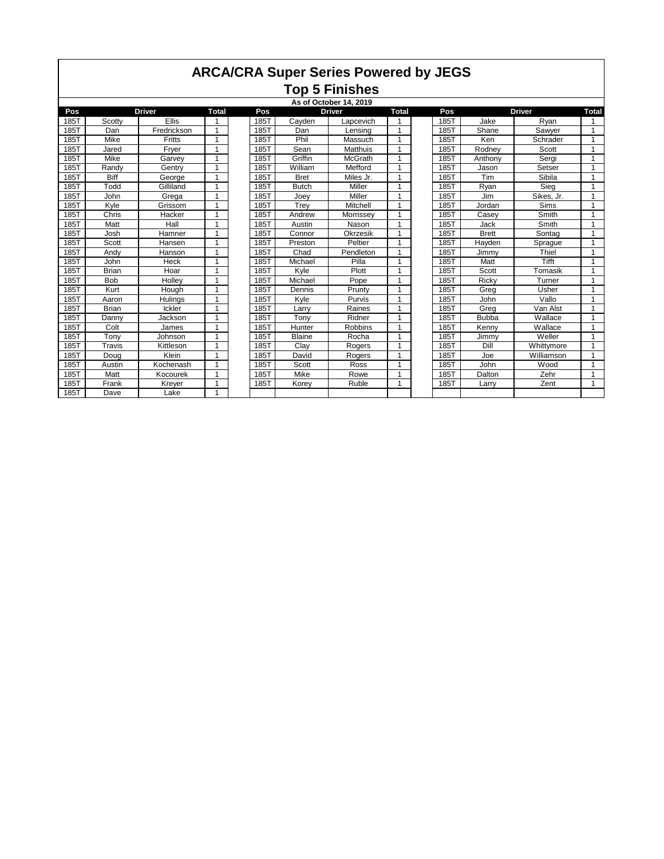## **ARCA/CRA Super Series Powered by JEGS Top 5 Finishes**

|      |              |               |                |      |               | As of October 14, 2019 |                |      |               |             |                |
|------|--------------|---------------|----------------|------|---------------|------------------------|----------------|------|---------------|-------------|----------------|
| Pos  |              | <b>Driver</b> | <b>Total</b>   | Pos  |               | <b>Driver</b>          | <b>Total</b>   | Pos  | <b>Driver</b> |             | <b>Total</b>   |
| 185T | Scotty       | <b>Ellis</b>  |                | 185T | Cayden        | Lapcevich              |                | 185T | Jake          | Ryan        | 1              |
| 185T | Dan          | Fredrickson   | 1              | 185T | Dan           | Lensing                |                | 185T | Shane         | Sawyer      | 1              |
| 185T | Mike         | <b>Fritts</b> |                | 185T | Phil          | Massuch                |                | 185T | Ken           | Schrader    | $\mathbf{1}$   |
| 185T | Jared        | Fryer         |                | 185T | Sean          | <b>Matthuis</b>        |                | 185T | Rodney        | Scott       | 1              |
| 185T | Mike         | Garvey        |                | 185T | Griffin       | McGrath                |                | 185T | Anthony       | Sergi       | 1              |
| 185T | Randv        | Gentry        |                | 185T | William       | Mefford                |                | 185T | Jason         | Setser      | 1              |
| 185T | <b>Biff</b>  | George        | 1              | 185T | <b>Bret</b>   | Miles Jr.              |                | 185T | Tim           | Sibila      | $\mathbf{1}$   |
| 185T | Todd         | Gilliland     |                | 185T | <b>Butch</b>  | Miller                 |                | 185T | Ryan          | Sieg        | 1              |
| 185T | John         | Grega         |                | 185T | Joev          | Miller                 |                | 185T | Jim           | Sikes, Jr.  | 1              |
| 185T | Kyle         | Grissom       |                | 185T | Trev          | Mitchell               |                | 185T | Jordan        | <b>Sims</b> | 1              |
| 185T | Chris        | Hacker        |                | 185T | Andrew        | Morrissey              |                | 185T | Casey         | Smith       | 1              |
| 185T | Matt         | Hall          |                | 185T | Austin        | Nason                  | 1              | 185T | Jack          | Smith       | 1              |
| 185T | Josh         | Hamner        | $\overline{ }$ | 185T | Connor        | Okrzesik               |                | 185T | <b>Brett</b>  | Sontag      | 1              |
| 185T | Scott        | Hansen        |                | 185T | Preston       | Peltier                |                | 185T | Hayden        | Sprague     | 1              |
| 185T | Andy         | Hanson        |                | 185T | Chad          | Pendleton              |                | 185T | Jimmy         | Thiel       | 1              |
| 185T | John         | Heck          | $\overline{ }$ | 185T | Michael       | Pilla                  | $\overline{ }$ | 185T | Matt          | Tifft       | $\overline{ }$ |
| 185T | <b>Brian</b> | Hoar          |                | 185T | Kyle          | Plott                  |                | 185T | Scott         | Tomasik     | 1              |
| 185T | <b>Bob</b>   | Hollev        | $\overline{ }$ | 185T | Michael       | Pope                   | $\overline{ }$ | 185T | Ricky         | Turner      | 1              |
| 185T | Kurt         | Hough         | 1              | 185T | Dennis        | Prunty                 | 1              | 185T | Greg          | Usher       | 1              |
| 185T | Aaron        | Hulings       |                | 185T | Kyle          | Purvis                 |                | 185T | John          | Vallo       | 1              |
| 185T | <b>Brian</b> | Ickler        |                | 185T | Larrv         | Raines                 |                | 185T | Greg          | Van Alst    | $\mathbf{1}$   |
| 185T | Danny        | Jackson       |                | 185T | Tony          | Ridner                 |                | 185T | <b>Bubba</b>  | Wallace     | 1              |
| 185T | Colt         | James         |                | 185T | Hunter        | <b>Robbins</b>         |                | 185T | Kenny         | Wallace     | 1              |
| 185T | Tony         | Johnson       |                | 185T | <b>Blaine</b> | Rocha                  |                | 185T | Jimmy         | Weller      | $\mathbf{1}$   |
| 185T | Travis       | Kittleson     | 1              | 185T | Clay          | Rogers                 | 1              | 185T | Dill          | Whittymore  | $\mathbf{1}$   |
| 185T | Doug         | Klein         | 1              | 185T | David         | Rogers                 | 1              | 185T | Joe           | Williamson  | 1              |
| 185T | Austin       | Kochenash     | $\mathbf{1}$   | 185T | Scott         | Ross                   | 1              | 185T | John          | Wood        | 1              |
| 185T | Matt         | Kocourek      |                | 185T | Mike          | Rowe                   |                | 185T | Dalton        | Zehr        | 1              |
| 185T | Frank        | Kreyer        | $\overline{ }$ | 185T | Korey         | Ruble                  | $\overline{ }$ | 185T | Larry         | Zent        | $\mathbf{1}$   |
| 185T | Dave         | Lake          | 1              |      |               |                        |                |      |               |             |                |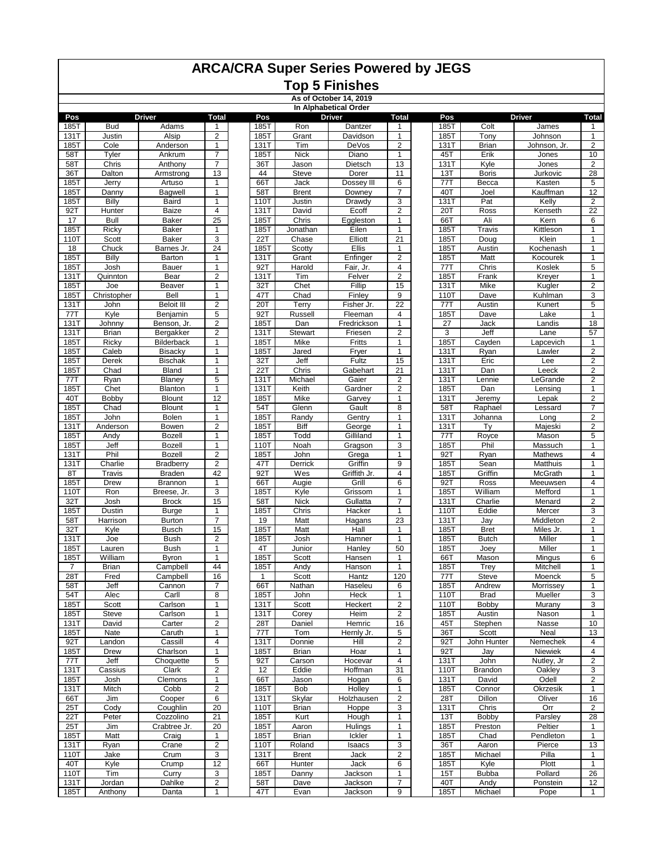# **ARCA/CRA Super Series Powered by JEGS**

#### **Top 5 Finishes As of October 14, 2019**

|              | In Alphabetical Order |                       |                                  |              |               |                  |                         |             |                |                 |                                  |  |
|--------------|-----------------------|-----------------------|----------------------------------|--------------|---------------|------------------|-------------------------|-------------|----------------|-----------------|----------------------------------|--|
| Pos          |                       | <b>Driver</b>         | <b>Total</b>                     | Pos          |               | <b>Driver</b>    | <b>Total</b>            | Pos         |                | <b>Driver</b>   | <b>Total</b>                     |  |
| 185T         | <b>Bud</b>            | Adams                 | $\mathbf{1}$                     | 185T         | Ron           | Dantzer          | $\mathbf{1}$            | 185T        | Colt           | James           | $\mathbf{1}$                     |  |
| 131T         | Justin                | Alsip                 | $\overline{2}$                   | 185T         | Grant         | Davidson         | $\mathbf{1}$            | 185T        | Tony           | Johnson         | $\mathbf{1}$                     |  |
| 185T         | Cole                  | Anderson              | 1                                | 131T         | Tim           | DeVos            | $\overline{\mathbf{c}}$ | 131T        | <b>Brian</b>   | Johnson, Jr.    | $\overline{\mathbf{c}}$          |  |
| 58T          | Tyler                 | Ankrum                | $\overline{7}$                   | 185T         | <b>Nick</b>   | Diano            | $\mathbf{1}$            | 45T         | Erik           | Jones           | 10                               |  |
| 58T          | Chris                 | Anthony               | $\overline{7}$                   | 36T          | Jason         | Dietsch          | 13                      | 131T        | Kyle           | Jones           | $\overline{2}$                   |  |
| 36T          | Dalton                | Armstrong             | 13                               | 44           | Steve         | Dorer            | 11                      | 13T         | <b>Boris</b>   | Jurkovic        | 28                               |  |
| 185T         | Jerry                 | Artuso                | 1                                | 66T          | Jack          | Dossey III       | 6                       | 77T         | Becca          | Kasten          | 5                                |  |
| 185T         | Danny                 | Bagwell               | $\mathbf{1}$                     | 58T          | <b>Brent</b>  | Downey           | $\overline{7}$          | 40T         | Joel           | Kauffman        | 12                               |  |
| 185T         | Billy                 | Baird                 | $\mathbf{1}$                     | 110T         | Justin        | Drawdy           | 3                       | 131T        | Pat            | Kelly           | $\overline{\mathbf{c}}$          |  |
| 92T          | Hunter                | <b>Baize</b>          | $\overline{4}$                   | 131T         | David         | Ecoff            | $\overline{2}$          | 20T         | Ross           | Kenseth         | $\overline{22}$                  |  |
| 17           | <b>Bull</b>           | Baker                 | 25                               | 185T         | Chris         | Eggleston        | 1                       | 66T         | Ali            | Kern            | 6                                |  |
| 185T         | Ricky                 | Baker                 | $\mathbf{1}$                     | 185T         | Jonathan      | Eilen            | 1                       | 185T        | Travis         | Kittleson       | 1                                |  |
| <b>110T</b>  | Scott                 | Baker                 | 3                                | 22T          | Chase         | Elliott          | $\overline{21}$         | <b>185T</b> | Doug           | Klein           | $\mathbf{1}$                     |  |
| 18           | Chuck                 | Barnes Jr.            | 24<br>1                          | 185T         | Scotty        | <b>Ellis</b>     | 1                       | 185T        | Austin         | Kochenash       | 1                                |  |
| <b>185T</b>  | Billy                 | Barton                | $\mathbf{1}$                     | 131T         | Grant         | Enfinger         | 2                       | 185T        | Matt           | Kocourek        | 1                                |  |
| 185T         | Josh                  | Bauer                 |                                  | 92T          | Harold        | Fair, Jr.        | 4                       | 77T<br>185T | Chris          | Koslek          | 5                                |  |
| 131T         | Quinnton              | Bear                  | $\overline{2}$<br>$\mathbf{1}$   | 131T         | Tim           | Felver<br>Fillip | $\overline{2}$<br>15    |             | Frank          | Kreyer          | $\mathbf{1}$<br>$\overline{2}$   |  |
| 185T         | Joe                   | Beaver                |                                  | 32T          | Chet          |                  |                         | <b>131T</b> | Mike           | Kugler          |                                  |  |
| 185T         | Christopher           | Bell                  | $\mathbf{1}$                     | 47T          | Chad          | Finley           | 9                       | 110T        | Dave           | Kuhlman         | 3                                |  |
| 131T         | John                  | <b>Beloit III</b>     | $\overline{2}$                   | 20T          | Terry         | Fisher Jr.       | $\overline{22}$         | 77T         | Austin         | Kunert          | 5                                |  |
| 77T          | Kyle                  | Benjamin              | 5                                | 92T          | Russell       | Fleeman          | 4                       | 185T        | Dave           | Lake            | 1                                |  |
| <b>131T</b>  | Johnny                | Benson, Jr.           | $\overline{2}$<br>$\overline{2}$ | 185T         | Dan           | Fredrickson      | 1                       | 27          | Jack           | Landis          | 18<br>57                         |  |
| 131T<br>185T | <b>Brian</b>          | Bergakker             | $\mathbf{1}$                     | 131T         | Stewart       | Friesen          | 2<br>$\mathbf{1}$       | 3<br>185T   | Jeff           | Lane            | 1                                |  |
| 185T         | Ricky<br>Caleb        | Bilderback<br>Bisacky | $\mathbf{1}$                     | 185T<br>185T | Mike<br>Jared | Fritts           | $\mathbf{1}$            | 131T        | Cayden         | Lapcevich       | $\overline{2}$                   |  |
|              | Derek                 | <b>Bischak</b>        | $\mathbf{1}$                     |              | Jeff          | Fryer<br>Fultz   | 15                      | 131T        | Ryan           | Lawler          |                                  |  |
| 185T<br>185T | Chad                  | <b>Bland</b>          | $\mathbf{1}$                     | 32T<br>22T   | Chris         | Gabehart         | 21                      | 131T        | Eric<br>Dan    | Lee<br>Leeck    | $\overline{2}$<br>$\overline{2}$ |  |
| 77T          | Ryan                  | Blaney                | 5                                | 131T         | Michael       | Gaier            | $\overline{\mathbf{c}}$ | 131T        | Lennie         | LeGrande        | $\overline{c}$                   |  |
| 185T         | Chet                  | Blanton               | $\mathbf{1}$                     | 131T         | Keith         | Gardner          | $\overline{c}$          | 185T        | Dan            | Lensing         | $\mathbf{1}$                     |  |
| 40T          | Bobby                 | <b>Blount</b>         | 12                               | 185T         | Mike          | Garvey           | 1                       | <b>131T</b> | Jeremy         | Lepak           | $\overline{2}$                   |  |
| 185T         | Chad                  | <b>Blount</b>         | $\mathbf{1}$                     | 54T          | Glenn         | Gault            | 8                       | 58T         | Raphael        | Lessard         | $\overline{7}$                   |  |
| 185T         | John                  | Bolen                 | 1                                | 185T         | Randy         | Gentry           | $\mathbf{1}$            | 131T        | Johanna        | Long            | $\overline{2}$                   |  |
| 131T         | Anderson              | Bowen                 | $\overline{2}$                   | 185T         | <b>Biff</b>   | George           | $\mathbf{1}$            | 131T        | Ty             | Majeski         | $\overline{\mathbf{c}}$          |  |
| 185T         | Andy                  | <b>Bozell</b>         | $\mathbf{1}$                     | 185T         | Todd          | Gilliland        | $\mathbf{1}$            | 77T         | Royce          | Mason           | $\overline{5}$                   |  |
| 185T         | Jeff                  | <b>Bozell</b>         | 1                                | 110T         | Noah          | Gragson          | 3                       | 185T        | Phil           | Massuch         | 1                                |  |
| 131T         | Phil                  | <b>Bozell</b>         | $\overline{2}$                   | 185T         | John          | Grega            | $\mathbf{1}$            | 92T         | Ryan           | Mathews         | $\overline{\mathbf{4}}$          |  |
| 131T         | Charlie               | Bradberry             | $\overline{2}$                   | 47T          | Derrick       | Griffin          | 9                       | 185T        | Sean           | Matthuis        | 1                                |  |
| 8T           | Travis                | <b>Braden</b>         | 42                               | 92T          | Wes           | Griffith Jr.     | 4                       | <b>185T</b> | Griffin        | McGrath         | $\mathbf{1}$                     |  |
| 185T         | Drew                  | <b>Brannon</b>        | 1                                | 66T          | Augie         | Grill            | 6                       | 92T         | Ross           | Meeuwsen        | $\overline{4}$                   |  |
| <b>110T</b>  | Ron                   | Breese, Jr.           | 3                                | 185T         | Kyle          | Grissom          | $\mathbf{1}$            | 185T        | William        | Mefford         | $\mathbf{1}$                     |  |
| 32T          | Josh                  | <b>Brock</b>          | 15                               | 58T          | <b>Nick</b>   | Gullatta         | 7                       | 131T        | Charlie        | Menard          | $\overline{2}$                   |  |
| 185T         | Dustin                | <b>Burge</b>          | $\mathbf{1}$                     | 185T         | Chris         | Hacker           | $\mathbf{1}$            | 110T        | Eddie          | Mercer          | 3                                |  |
| 58T          | Harrison              | <b>Burton</b>         | $\overline{7}$                   | 19           | Matt          | Hagans           | 23                      | 131T        | Jay            | Middleton       | $\overline{2}$                   |  |
| 32T          | Kyle                  | <b>Busch</b>          | 15                               | 185T         | Matt          | Hall             | $\mathbf{1}$            | 185T        | <b>Bret</b>    | Miles Jr.       | $\mathbf{1}$                     |  |
| 131T         | Joe                   | <b>Bush</b>           | $\overline{2}$                   | 185T         | Josh          | Hamner           | $\mathbf{1}$            | 185T        | <b>Butch</b>   | Miller          | $\mathbf{1}$                     |  |
| 185T         | Lauren                | <b>Bush</b>           | $\mathbf{1}$                     | 4T           | Junior        | Hanley           | 50                      | 185T        | Joey           | Miller          | 1                                |  |
| 185T         | William               | <b>Byron</b>          | $\mathbf{1}$                     | 185T         | Scott         | Hansen           | $\mathbf{1}$            | 66T         | Mason          | Mingus          | 6                                |  |
| 7            | <b>Brian</b>          | Campbell              | 44                               | 185T         | Andy          | Hanson           | $\mathbf{1}$            | 185T        | Trey           | Mitchell        | 1                                |  |
| 28T          | Fred                  | Campbell              | 16                               |              | Scott         | Hantz            | 120                     | 77T         | Steve          | Moenck          | 5                                |  |
| 58T          | Jeff                  | Cannon                | $\overline{7}$                   | 66T          | Nathan        | Haseleu          | 6                       | 185T        | Andrew         | Morrissey       | $\mathbf{1}$                     |  |
| 54T          | Alec                  | Carll                 | 8                                | 185T         | John          | Heck             | 1                       | 110T        | <b>Brad</b>    | Mueller         | 3                                |  |
| 185T         | Scott                 | Carlson               | $\mathbf{1}$                     | 131T         | Scott         | Heckert          | $\boldsymbol{2}$        | 110T        | Bobby          | Murany          | 3                                |  |
| 185T         | Steve                 | Carlson               | 1                                | 131T         | Corey         | Heim             | $\overline{\mathbf{c}}$ | 185T        | Austin         | Nason           | 1                                |  |
| 131T         | David                 | Carter                | $\overline{c}$                   | 28T          | Daniel        | Hemric           | 16                      | 45T         | Stephen        | Nasse           | 10                               |  |
| 185T         | Nate                  | Caruth                | $\mathbf{1}$                     | 77T          | Tom           | Hernly Jr.       | 5                       | 36T         | Scott          | Neal            | 13                               |  |
| 92T          | Landon                | Cassill               | 4                                | 131T         | Donnie        | Hill             | $\overline{c}$          | 92T         | John Hunter    | Nemechek        | 4                                |  |
| 185T         | Drew                  | Charlson              | 1                                | 185T         | Brian         | Hoar             | $\mathbf{1}$            | 92T         | Jay            | Niewiek         | 4                                |  |
| 77T          | Jeff                  | Choquette             | 5                                | 92T          | Carson        | Hocevar          | 4                       | 131T        | John           | Nutley, Jr      | $\overline{2}$                   |  |
| 131T         | Cassius               | Clark                 | $\overline{2}$                   | 12           | Eddie         | Hoffman          | 31                      | 110T        | <b>Brandon</b> | Oakley          | 3                                |  |
| 185T         | Josh                  | Clemons               | $\mathbf{1}$                     | 66T          | Jason         | Hogan            | 6                       | 131T        | David          | Odell           | $\overline{2}$                   |  |
| 131T         | Mitch                 | Cobb                  | $\overline{2}$                   | 185T         | Bob           | Holley           | $\mathbf{1}$            | 185T        | Connor         | <b>Okrzesik</b> | $\mathbf{1}$                     |  |
| 66T          | Jim                   | Cooper                | 6                                | 131T         | Skylar        | Holzhausen       | 2                       | 28T         | Dillon         | Oliver          | 16                               |  |
| 25T          | Cody                  | Coughlin              | $\overline{20}$                  | 110T         | Brian         | Hoppe            | 3                       | 131T        | Chris          | Orr             | $\overline{2}$                   |  |
| 22T          | Peter                 | Cozzolino             | 21                               | 185T         | Kurt          | Hough            | 1                       | 13T         | Bobby          | Parsley         | 28                               |  |
| 25T          | Jim                   | Crabtree Jr.          | 20                               | 185T         | Aaron         | Hulings          | $\mathbf{1}$            | 185T        | Preston        | Peltier         | 1                                |  |
| 185T         | Matt                  | Craig                 | 1                                | 185T         | <b>Brian</b>  | Ickler           | $\mathbf{1}$            | 185T        | Chad           | Pendleton       | 1                                |  |
| 131T         | Ryan                  | Crane                 | $\overline{2}$                   | 110T         | Roland        | Isaacs           | 3                       | 36T         | Aaron          | Pierce          | 13                               |  |
| 110T         | Jake                  | Crum                  | 3                                | 131T         | <b>Brent</b>  | Jack             | $\overline{\mathbf{c}}$ | 185T        | Michael        | Pilla           | $\mathbf{1}$                     |  |
| 40T          | Kyle                  | Crump                 | 12                               | 66T          | Hunter        | Jack             | 6                       | 185T        | Kyle           | Plott           | $\mathbf{1}$                     |  |
| 110T         | Tim                   | Curry                 | 3                                | 185T         | Danny         | Jackson          | $\mathbf{1}$            | 15T         | <b>Bubba</b>   | Pollard         | $\overline{26}$                  |  |
| 131T         | Jordan                | Dahlke                | $\overline{\mathbf{c}}$          | 58T          | Dave          | Jackson          | 7                       | 40T         | Andy           | Ponstein        | 12                               |  |
| 185T         | Anthony               | Danta                 | $\mathbf{1}$                     | 47T          | Evan          | Jackson          | 9                       | 185T        | Michael        | Pope            | $\mathbf{1}$                     |  |